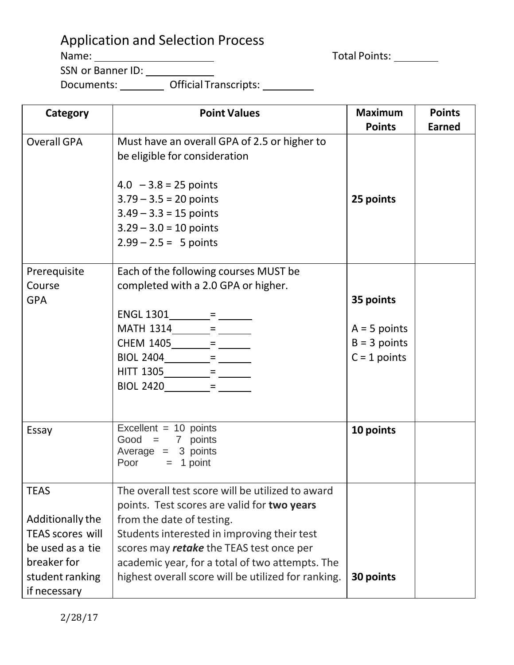## Application and Selection Process

Total Points:

Name: SSN or Banner ID:

Documents: \_\_\_\_\_\_\_\_\_ Official Transcripts:

| Category                | <b>Point Values</b>                                 | <b>Maximum</b> | <b>Points</b> |
|-------------------------|-----------------------------------------------------|----------------|---------------|
|                         |                                                     | <b>Points</b>  | <b>Earned</b> |
| <b>Overall GPA</b>      | Must have an overall GPA of 2.5 or higher to        |                |               |
|                         | be eligible for consideration                       |                |               |
|                         |                                                     |                |               |
|                         | $4.0 - 3.8 = 25$ points                             |                |               |
|                         | $3.79 - 3.5 = 20$ points                            | 25 points      |               |
|                         | $3.49 - 3.3 = 15$ points                            |                |               |
|                         | $3.29 - 3.0 = 10$ points                            |                |               |
|                         | $2.99 - 2.5 = 5$ points                             |                |               |
| Prerequisite            | Each of the following courses MUST be               |                |               |
| Course                  | completed with a 2.0 GPA or higher.                 |                |               |
| <b>GPA</b>              |                                                     | 35 points      |               |
|                         | $ENGL 1301$ = $=$ $-$                               |                |               |
|                         |                                                     | $A = 5$ points |               |
|                         |                                                     | $B = 3$ points |               |
|                         |                                                     | $C = 1$ points |               |
|                         | $HITT 1305$ = $=$ $-$                               |                |               |
|                         |                                                     |                |               |
|                         |                                                     |                |               |
|                         |                                                     |                |               |
| Essay                   | Excellent = $10$ points                             | 10 points      |               |
|                         | Good = $7$ points                                   |                |               |
|                         | Average $= 3$ points<br>Poor $= 1$ point            |                |               |
|                         |                                                     |                |               |
| <b>TEAS</b>             | The overall test score will be utilized to award    |                |               |
|                         | points. Test scores are valid for two years         |                |               |
| Additionally the        | from the date of testing.                           |                |               |
| <b>TEAS scores will</b> | Students interested in improving their test         |                |               |
| be used as a tie        | scores may retake the TEAS test once per            |                |               |
| breaker for             | academic year, for a total of two attempts. The     |                |               |
| student ranking         | highest overall score will be utilized for ranking. | 30 points      |               |
| if necessary            |                                                     |                |               |